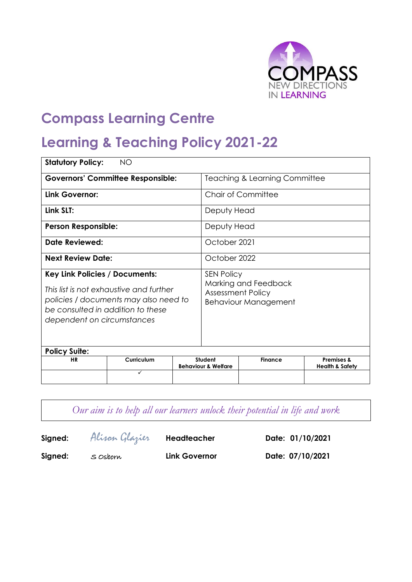

# **Compass Learning Centre**

# **Learning & Teaching Policy 2021-22**

| <b>Statutory Policy:</b>                                                                                                                                                                     | <b>NO</b>  |                                          |                                                                                                      |                |                                                     |  |
|----------------------------------------------------------------------------------------------------------------------------------------------------------------------------------------------|------------|------------------------------------------|------------------------------------------------------------------------------------------------------|----------------|-----------------------------------------------------|--|
| <b>Governors' Committee Responsible:</b>                                                                                                                                                     |            | <b>Teaching &amp; Learning Committee</b> |                                                                                                      |                |                                                     |  |
| Link Governor:                                                                                                                                                                               |            | <b>Chair of Committee</b>                |                                                                                                      |                |                                                     |  |
| Link SLT:                                                                                                                                                                                    |            |                                          | Deputy Head                                                                                          |                |                                                     |  |
| <b>Person Responsible:</b>                                                                                                                                                                   |            |                                          | Deputy Head                                                                                          |                |                                                     |  |
| <b>Date Reviewed:</b>                                                                                                                                                                        |            |                                          | October 2021                                                                                         |                |                                                     |  |
| <b>Next Review Date:</b>                                                                                                                                                                     |            |                                          | October 2022                                                                                         |                |                                                     |  |
| <b>Key Link Policies / Documents:</b><br>This list is not exhaustive and further<br>policies / documents may also need to<br>be consulted in addition to these<br>dependent on circumstances |            |                                          | <b>SEN Policy</b><br>Marking and Feedback<br><b>Assessment Policy</b><br><b>Behaviour Management</b> |                |                                                     |  |
| <b>Policy Suite:</b><br><b>HR</b>                                                                                                                                                            | Curriculum |                                          | Student<br><b>Behaviour &amp; Welfare</b>                                                            | <b>Finance</b> | <b>Premises &amp;</b><br><b>Health &amp; Safety</b> |  |
|                                                                                                                                                                                              | ✓          |                                          |                                                                                                      |                |                                                     |  |

*Our aim is to help all our learners unlock their potential in life and work*

**Signed:** Alison Glazier **Headteacher Date: 01/10/2021**

Signed: S Osborn **Link Governor Date: 07/10/2021**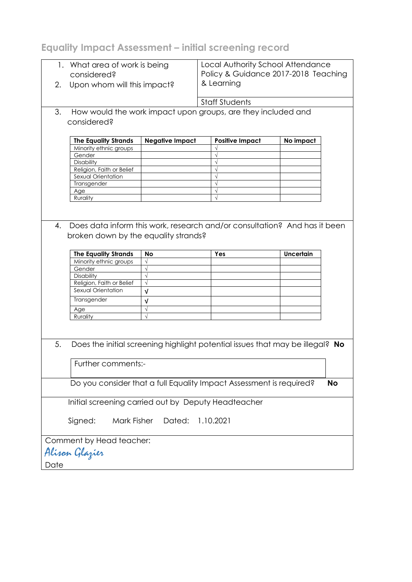**Equality Impact Assessment – initial screening record**

| considered?<br>Upon whom will this impact?<br>2.    | 1. What area of work is being | Local Authority School Attendance<br>Policy & Guidance 2017-2018 Teaching<br>& Learning |                  |           |  |
|-----------------------------------------------------|-------------------------------|-----------------------------------------------------------------------------------------|------------------|-----------|--|
|                                                     |                               | <b>Staff Students</b>                                                                   |                  |           |  |
| 3.                                                  |                               | How would the work impact upon groups, are they included and                            |                  |           |  |
|                                                     |                               |                                                                                         |                  |           |  |
| considered?                                         |                               |                                                                                         |                  |           |  |
|                                                     |                               |                                                                                         |                  |           |  |
| <b>The Equality Strands</b>                         | <b>Negative Impact</b>        | <b>Positive Impact</b>                                                                  | No impact        |           |  |
| Minority ethnic groups                              |                               |                                                                                         |                  |           |  |
| Gender                                              |                               |                                                                                         |                  |           |  |
| Disability                                          |                               |                                                                                         |                  |           |  |
| Religion, Faith or Belief                           |                               |                                                                                         |                  |           |  |
| Sexual Orientation                                  |                               |                                                                                         |                  |           |  |
| Transgender                                         |                               | $\sqrt{ }$                                                                              |                  |           |  |
| Age                                                 |                               | $\sqrt{ }$                                                                              |                  |           |  |
| Rurality                                            |                               |                                                                                         |                  |           |  |
|                                                     |                               |                                                                                         |                  |           |  |
|                                                     |                               |                                                                                         |                  |           |  |
| 4.<br>broken down by the equality strands?          |                               | Does data inform this work, research and/or consultation? And has it been               |                  |           |  |
|                                                     |                               |                                                                                         |                  |           |  |
| <b>The Equality Strands</b>                         | No                            | Yes                                                                                     | <b>Uncertain</b> |           |  |
|                                                     |                               |                                                                                         |                  |           |  |
| Minority ethnic groups                              | $\sqrt{}$                     |                                                                                         |                  |           |  |
| Gender                                              | $\sqrt{}$                     |                                                                                         |                  |           |  |
| Disability                                          | $\sqrt{}$                     |                                                                                         |                  |           |  |
| Religion, Faith or Belief                           | $\sqrt{}$                     |                                                                                         |                  |           |  |
| Sexual Orientation                                  | $\sqrt{ }$                    |                                                                                         |                  |           |  |
| Transgender                                         | $\sqrt{ }$                    |                                                                                         |                  |           |  |
| Age                                                 | $\sqrt{}$                     |                                                                                         |                  |           |  |
| Rurality                                            | $\sqrt{}$                     |                                                                                         |                  |           |  |
|                                                     |                               |                                                                                         |                  |           |  |
| 5.                                                  |                               | Does the initial screening highlight potential issues that may be illegal? No           |                  |           |  |
|                                                     |                               |                                                                                         |                  |           |  |
| Further comments:-                                  |                               |                                                                                         |                  |           |  |
|                                                     |                               |                                                                                         |                  |           |  |
|                                                     |                               |                                                                                         |                  |           |  |
|                                                     |                               | Do you consider that a full Equality Impact Assessment is required?                     |                  | <b>No</b> |  |
|                                                     |                               |                                                                                         |                  |           |  |
| Initial screening carried out by Deputy Headteacher |                               |                                                                                         |                  |           |  |
|                                                     |                               |                                                                                         |                  |           |  |
| Signed:<br>Mark Fisher                              | Dated:                        | 1.10.2021                                                                               |                  |           |  |
|                                                     |                               |                                                                                         |                  |           |  |
| Comment by Head teacher:<br>Alison Glazier          |                               |                                                                                         |                  |           |  |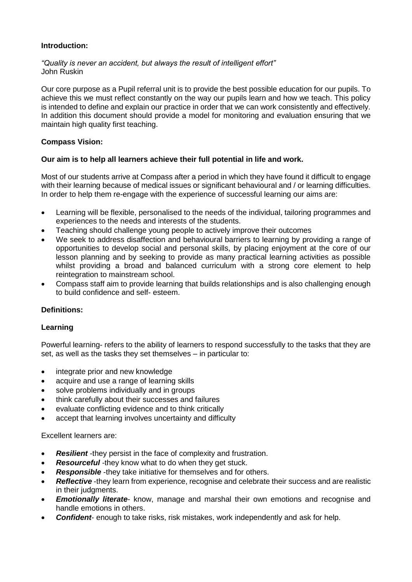#### **Introduction:**

#### *"Quality is never an accident, but always the result of intelligent effort"* John Ruskin

Our core purpose as a Pupil referral unit is to provide the best possible education for our pupils. To achieve this we must reflect constantly on the way our pupils learn and how we teach. This policy is intended to define and explain our practice in order that we can work consistently and effectively. In addition this document should provide a model for monitoring and evaluation ensuring that we maintain high quality first teaching.

### **Compass Vision:**

### **Our aim is to help all learners achieve their full potential in life and work.**

Most of our students arrive at Compass after a period in which they have found it difficult to engage with their learning because of medical issues or significant behavioural and / or learning difficulties. In order to help them re-engage with the experience of successful learning our aims are:

- Learning will be flexible, personalised to the needs of the individual, tailoring programmes and experiences to the needs and interests of the students.
- Teaching should challenge young people to actively improve their outcomes
- We seek to address disaffection and behavioural barriers to learning by providing a range of opportunities to develop social and personal skills, by placing enjoyment at the core of our lesson planning and by seeking to provide as many practical learning activities as possible whilst providing a broad and balanced curriculum with a strong core element to help reintegration to mainstream school.
- Compass staff aim to provide learning that builds relationships and is also challenging enough to build confidence and self- esteem.

# **Definitions:**

#### **Learning**

Powerful learning- refers to the ability of learners to respond successfully to the tasks that they are set, as well as the tasks they set themselves – in particular to:

- integrate prior and new knowledge
- acquire and use a range of learning skills
- solve problems individually and in groups
- think carefully about their successes and failures
- evaluate conflicting evidence and to think critically
- accept that learning involves uncertainty and difficulty

#### Excellent learners are:

- *Resilient* -they persist in the face of complexity and frustration.
- **Resourceful** -they know what to do when they get stuck.
- *Responsible* -they take initiative for themselves and for others.
- **Reflective** -they learn from experience, recognise and celebrate their success and are realistic in their judgments.
- *Emotionally literate* know, manage and marshal their own emotions and recognise and handle emotions in others.
- *Confident* enough to take risks, risk mistakes, work independently and ask for help.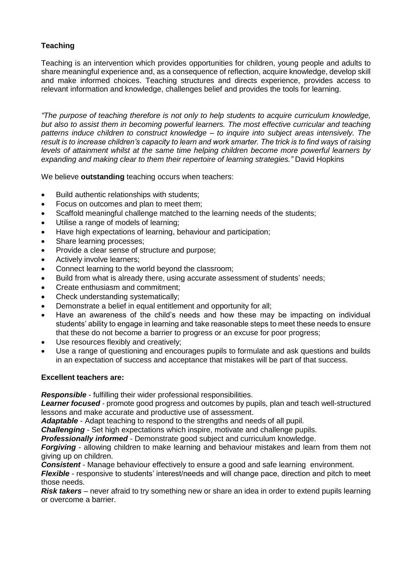# **Teaching**

Teaching is an intervention which provides opportunities for children, young people and adults to share meaningful experience and, as a consequence of reflection, acquire knowledge, develop skill and make informed choices. Teaching structures and directs experience, provides access to relevant information and knowledge, challenges belief and provides the tools for learning.

*"The purpose of teaching therefore is not only to help students to acquire curriculum knowledge, but also to assist them in becoming powerful learners. The most effective curricular and teaching patterns induce children to construct knowledge – to inquire into subject areas intensively. The result is to increase children's capacity to learn and work smarter. The trick is to find ways of raising levels of attainment whilst at the same time helping children become more powerful learners by expanding and making clear to them their repertoire of learning strategies."* David Hopkins

We believe **outstanding** teaching occurs when teachers:

- Build authentic relationships with students;
- Focus on outcomes and plan to meet them;
- Scaffold meaningful challenge matched to the learning needs of the students;
- Utilise a range of models of learning;
- Have high expectations of learning, behaviour and participation;
- Share learning processes;
- Provide a clear sense of structure and purpose;
- Actively involve learners;
- Connect learning to the world beyond the classroom;
- Build from what is already there, using accurate assessment of students' needs;
- Create enthusiasm and commitment;
- Check understanding systematically;
- Demonstrate a belief in equal entitlement and opportunity for all;
- Have an awareness of the child's needs and how these may be impacting on individual students' ability to engage in learning and take reasonable steps to meet these needs to ensure that these do not become a barrier to progress or an excuse for poor progress;
- Use resources flexibly and creatively;
- Use a range of questioning and encourages pupils to formulate and ask questions and builds in an expectation of success and acceptance that mistakes will be part of that success.

#### **Excellent teachers are:**

*Responsible* - fulfilling their wider professional responsibilities.

*Learner focused* - promote good progress and outcomes by pupils, plan and teach well-structured lessons and make accurate and productive use of assessment.

*Adaptable* - Adapt teaching to respond to the strengths and needs of all pupil.

*Challenging* - Set high expectations which inspire, motivate and challenge pupils.

*Professionally informed* - Demonstrate good subject and curriculum knowledge.

*Forgiving* - allowing children to make learning and behaviour mistakes and learn from them not giving up on children.

*Consistent* - Manage behaviour effectively to ensure a good and safe learning environment.

*Flexible* - responsive to students' interest/needs and will change pace, direction and pitch to meet those needs.

*Risk takers* – never afraid to try something new or share an idea in order to extend pupils learning or overcome a barrier.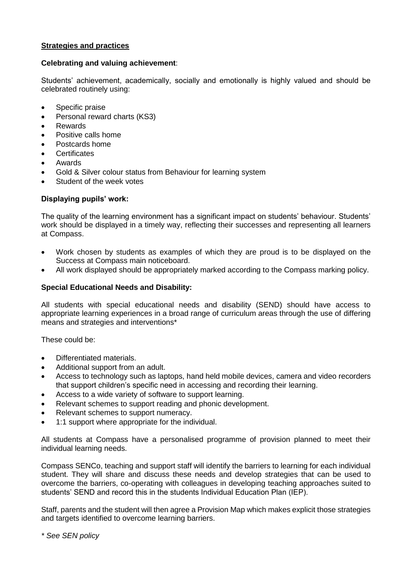#### **Strategies and practices**

#### **Celebrating and valuing achievement**:

Students' achievement, academically, socially and emotionally is highly valued and should be celebrated routinely using:

- Specific praise
- Personal reward charts (KS3)
- Rewards
- Positive calls home
- Postcards home
- **Certificates**
- Awards
- Gold & Silver colour status from Behaviour for learning system
- Student of the week votes

### **Displaying pupils' work:**

The quality of the learning environment has a significant impact on students' behaviour. Students' work should be displayed in a timely way, reflecting their successes and representing all learners at Compass.

- Work chosen by students as examples of which they are proud is to be displayed on the Success at Compass main noticeboard.
- All work displayed should be appropriately marked according to the Compass marking policy.

#### **Special Educational Needs and Disability:**

All students with special educational needs and disability (SEND) should have access to appropriate learning experiences in a broad range of curriculum areas through the use of differing means and strategies and interventions\*

These could be:

- Differentiated materials.
- Additional support from an adult.
- Access to technology such as laptops, hand held mobile devices, camera and video recorders that support children's specific need in accessing and recording their learning.
- Access to a wide variety of software to support learning.
- Relevant schemes to support reading and phonic development.
- Relevant schemes to support numeracy.
- 1:1 support where appropriate for the individual.

All students at Compass have a personalised programme of provision planned to meet their individual learning needs.

Compass SENCo, teaching and support staff will identify the barriers to learning for each individual student. They will share and discuss these needs and develop strategies that can be used to overcome the barriers, co-operating with colleagues in developing teaching approaches suited to students' SEND and record this in the students Individual Education Plan (IEP).

Staff, parents and the student will then agree a Provision Map which makes explicit those strategies and targets identified to overcome learning barriers.

*\* See SEN policy*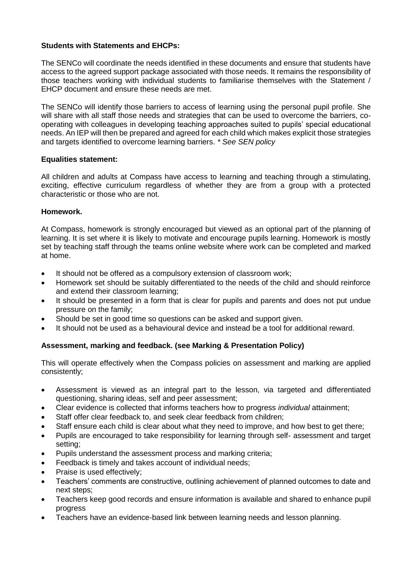#### **Students with Statements and EHCPs:**

The SENCo will coordinate the needs identified in these documents and ensure that students have access to the agreed support package associated with those needs. It remains the responsibility of those teachers working with individual students to familiarise themselves with the Statement / EHCP document and ensure these needs are met.

The SENCo will identify those barriers to access of learning using the personal pupil profile. She will share with all staff those needs and strategies that can be used to overcome the barriers, cooperating with colleagues in developing teaching approaches suited to pupils' special educational needs. An IEP will then be prepared and agreed for each child which makes explicit those strategies and targets identified to overcome learning barriers. *\* See SEN policy*

### **Equalities statement:**

All children and adults at Compass have access to learning and teaching through a stimulating, exciting, effective curriculum regardless of whether they are from a group with a protected characteristic or those who are not.

### **Homework.**

At Compass, homework is strongly encouraged but viewed as an optional part of the planning of learning. It is set where it is likely to motivate and encourage pupils learning. Homework is mostly set by teaching staff through the teams online website where work can be completed and marked at home.

- It should not be offered as a compulsory extension of classroom work;
- Homework set should be suitably differentiated to the needs of the child and should reinforce and extend their classroom learning;
- It should be presented in a form that is clear for pupils and parents and does not put undue pressure on the family;
- Should be set in good time so questions can be asked and support given.
- It should not be used as a behavioural device and instead be a tool for additional reward.

# **Assessment, marking and feedback. (see Marking & Presentation Policy)**

This will operate effectively when the Compass policies on assessment and marking are applied consistently;

- Assessment is viewed as an integral part to the lesson, via targeted and differentiated questioning, sharing ideas, self and peer assessment;
- Clear evidence is collected that informs teachers how to progress *individual* attainment;
- Staff offer clear feedback to, and seek clear feedback from children;
- Staff ensure each child is clear about what they need to improve, and how best to get there;
- Pupils are encouraged to take responsibility for learning through self- assessment and target setting;
- Pupils understand the assessment process and marking criteria;
- Feedback is timely and takes account of individual needs;
- Praise is used effectively;
- Teachers' comments are constructive, outlining achievement of planned outcomes to date and next steps;
- Teachers keep good records and ensure information is available and shared to enhance pupil progress
- Teachers have an evidence-based link between learning needs and lesson planning.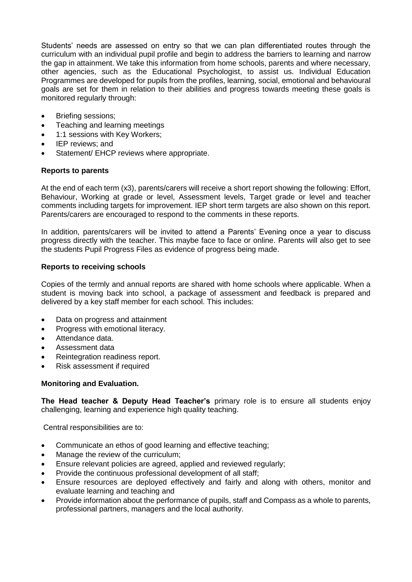Students' needs are assessed on entry so that we can plan differentiated routes through the curriculum with an individual pupil profile and begin to address the barriers to learning and narrow the gap in attainment. We take this information from home schools, parents and where necessary, other agencies, such as the Educational Psychologist, to assist us. Individual Education Programmes are developed for pupils from the profiles, learning, social, emotional and behavioural goals are set for them in relation to their abilities and progress towards meeting these goals is monitored regularly through:

- Briefing sessions;
- Teaching and learning meetings
- 1:1 sessions with Key Workers;
- IEP reviews; and
- Statement/ EHCP reviews where appropriate.

#### **Reports to parents**

At the end of each term (x3), parents/carers will receive a short report showing the following: Effort, Behaviour, Working at grade or level, Assessment levels, Target grade or level and teacher comments including targets for improvement. IEP short term targets are also shown on this report. Parents/carers are encouraged to respond to the comments in these reports.

In addition, parents/carers will be invited to attend a Parents' Evening once a year to discuss progress directly with the teacher. This maybe face to face or online. Parents will also get to see the students Pupil Progress Files as evidence of progress being made.

#### **Reports to receiving schools**

Copies of the termly and annual reports are shared with home schools where applicable. When a student is moving back into school, a package of assessment and feedback is prepared and delivered by a key staff member for each school. This includes:

- Data on progress and attainment
- Progress with emotional literacy.
- Attendance data.
- Assessment data
- Reintegration readiness report.
- Risk assessment if required

#### **Monitoring and Evaluation.**

**The Head teacher & Deputy Head Teacher's** primary role is to ensure all students enjoy challenging, learning and experience high quality teaching.

Central responsibilities are to:

- Communicate an ethos of good learning and effective teaching;
- Manage the review of the curriculum;
- Ensure relevant policies are agreed, applied and reviewed regularly;
- Provide the continuous professional development of all staff;
- Ensure resources are deployed effectively and fairly and along with others, monitor and evaluate learning and teaching and
- Provide information about the performance of pupils, staff and Compass as a whole to parents, professional partners, managers and the local authority.